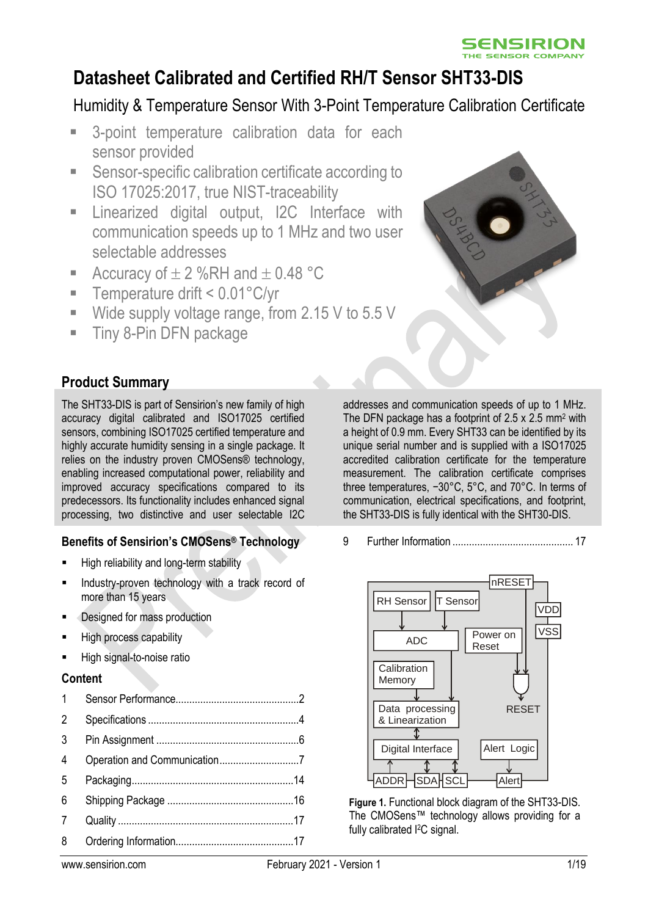

# **Datasheet Calibrated and Certified RH/T Sensor SHT33-DIS**

# Humidity & Temperature Sensor With 3-Point Temperature Calibration Certificate

- 3-point temperature calibration data for each sensor provided
- Sensor-specific calibration certificate according to ISO 17025:2017, true NIST-traceability
- **E** Linearized digital output, I2C Interface with communication speeds up to 1 MHz and two user selectable addresses
- Accuracy of  $\pm$  2 %RH and  $\pm$  0.48 °C
- Temperature drift < 0.01°C/yr
- Wide supply voltage range, from 2.15 V to 5.5 V
- **Tiny 8-Pin DFN package**



The SHT33-DIS is part of Sensirion's new family of high accuracy digital calibrated and ISO17025 certified sensors, combining ISO17025 certified temperature and highly accurate humidity sensing in a single package. It relies on the industry proven CMOSens® technology, enabling increased computational power, reliability and improved accuracy specifications compared to its predecessors. Its functionality includes enhanced signal processing, two distinctive and user selectable I2C

#### **Benefits of Sensirion's CMOSens® Technology**

- High reliability and long-term stability
- Industry-proven technology with a track record of more than 15 years
- Designed for mass production
- **High process capability**
- High signal-to-noise ratio

#### **Content**

| 1              |  |
|----------------|--|
| $\overline{2}$ |  |
| 3              |  |
| 4              |  |
| 5              |  |
| 6              |  |
| 7              |  |
| 8              |  |
|                |  |

addresses and communication speeds of up to 1 MHz. The DFN package has a footprint of 2.5 x 2.5 mm<sup>2</sup> with a height of 0.9 mm. Every SHT33 can be identified by its unique serial number and is supplied with a ISO17025 accredited calibration certificate for the temperature measurement. The calibration certificate comprises three temperatures, −30°C, 5°C, and 70°C. In terms of communication, electrical specifications, and footprint, the SHT33-DIS is fully identical with the SHT30-DIS.

9 Further Information [............................................](#page-16-2) 17



**Figure 1.** Functional block diagram of the SHT33-DIS. The CMOSens™ technology allows providing for a fully calibrated <sup>2</sup>C signal.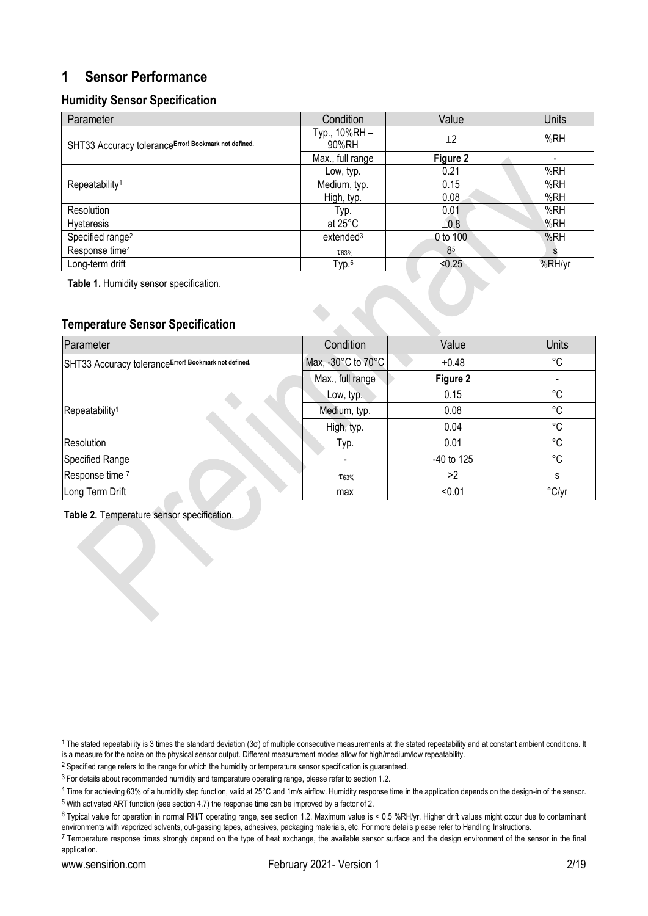### <span id="page-1-0"></span>**1 Sensor Performance**

#### **Humidity Sensor Specification**

<span id="page-1-1"></span>

| Parameter                                            | Condition             | Value     | <b>Units</b> |
|------------------------------------------------------|-----------------------|-----------|--------------|
| SHT33 Accuracy toleranceError! Bookmark not defined. | Typ., 10%RH-<br>90%RH | $+2$      | %RH          |
|                                                      | Max., full range      | Figure 2  |              |
|                                                      | Low, typ.             | 0.21      | %RH          |
| Repeatability <sup>1</sup>                           | Medium, typ.          | 0.15      | %RH          |
|                                                      | High, typ.            | 0.08      | %RH          |
| Resolution                                           | Typ.                  | 0.01      | %RH          |
| Hysteresis                                           | at $25^{\circ}$ C     | $\pm 0.8$ | %RH          |
| Specified range <sup>2</sup>                         | extended <sup>3</sup> | 0 to 100  | %RH          |
| Response time <sup>4</sup>                           | T63%                  | 85        | s            |
| Long-term drift                                      | Typ. <sup>6</sup>     | < 0.25    | %RH/yr       |

**Table 1.** Humidity sensor specification.

#### **Temperature Sensor Specification**

| Parameter                                            | Condition          | Value      | <b>Units</b> |
|------------------------------------------------------|--------------------|------------|--------------|
| SHT33 Accuracy toleranceError! Bookmark not defined. | Max, -30°C to 70°C | $\pm 0.48$ | °C           |
|                                                      | Max., full range   | Figure 2   |              |
|                                                      | Low, typ.          | 0.15       | °C           |
| Repeatability <sup>1</sup>                           | Medium, typ.       | 0.08       | $^{\circ}$ C |
|                                                      | High, typ.         | 0.04       | °C           |
| <b>Resolution</b>                                    | Typ.               | 0.01       | °C           |
| <b>Specified Range</b>                               |                    | -40 to 125 | °C           |
| Response time 7                                      | $\tau_{63\%}$      | >2         | S            |
| Long Term Drift                                      | max                | < 0.01     | °C/yr        |

 $\bullet$  of  $\bullet$ 

#### **Table 2.** Temperature sensor specification.

<sup>1</sup> The stated repeatability is 3 times the standard deviation (3σ) of multiple consecutive measurements at the stated repeatability and at constant ambient conditions. It is a measure for the noise on the physical sensor output. Different measurement modes allow for high/medium/low repeatability.

<sup>&</sup>lt;sup>2</sup> Specified range refers to the range for which the humidity or temperature sensor specification is guaranteed.

<sup>&</sup>lt;sup>3</sup> For details about recommended humidity and temperature operating range, please refer to section [1.2.](#page-3-1)

<sup>&</sup>lt;sup>4</sup> Time for achieving 63% of a humidity step function, valid at 25°C and 1m/s airflow. Humidity response time in the application depends on the design-in of the sensor.

<sup>5</sup> With activated ART function (see sectio[n 4.7\)](#page-8-0) the response time can be improved by a factor of 2.

<sup>6</sup> Typical value for operation in normal RH/T operating range, see section [1.2.](#page-3-1) Maximum value is < 0.5 %RH/yr. Higher drift values might occur due to contaminant environments with vaporized solvents, out-gassing tapes, adhesives, packaging materials, etc. For more details please refer to Handling Instructions.

<sup>&</sup>lt;sup>7</sup> Temperature response times strongly depend on the type of heat exchange, the available sensor surface and the design environment of the sensor in the final application.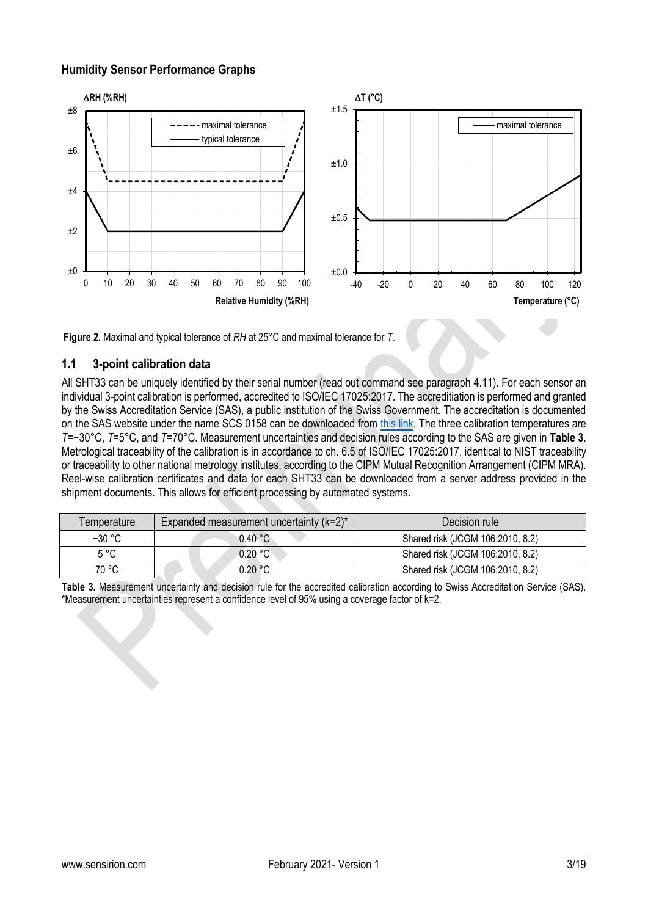#### **Humidity Sensor Performance Graphs**



<span id="page-2-0"></span>**Figure 2.** Maximal and typical tolerance of *RH* at 25°C and maximal tolerance for *T*.

#### **1.1 3-point calibration data**

All SHT33 can be uniquely identified by their serial number (read out command see paragraph [4.11\)](#page-9-0). For each sensor an individual 3-point calibration is performed, accredited to ISO/IEC 17025:2017. The accreditiation is performed and granted by the Swiss Accreditation Service (SAS), a public institution of the Swiss Government. The accreditation is documented on the SAS website under the name SCS 0158 can be downloaded from [this link.](https://www.sas.admin.ch/sas/de/home/akkreditiertestellen/akkrstellensuchesas/_jcr_content/par/externalcontent.external.exturl.pdf/aHR0cHM6Ly9zYXNkYi5jbGllbnRzLmxpaXAuY2gvbWVkaWEvcG/RmL1NDUy0wMTU4LWVuLnBkZg==.pdf) The three calibration temperatures are *T*=−30°C, *T*=5°C, and *T*=70°C. Measurement uncertainties and decision rules according to the SAS are given in **[Table 3](#page-2-1)**. Metrological traceability of the calibration is in accordance to ch. 6.5 of ISO/IEC 17025:2017, identical to NIST traceability or traceability to other national metrology institutes, according to the CIPM Mutual Recognition Arrangement (CIPM MRA). Reel-wise calibration certificates and data for each SHT33 can be downloaded from a server address provided in the shipment documents. This allows for efficient processing by automated systems.

| Temperature   | Expanded measurement uncertainty $(k=2)^*$ | Decision rule                    |
|---------------|--------------------------------------------|----------------------------------|
| $-30 °C$      | 0.40 °C                                    | Shared risk (JCGM 106:2010, 8.2) |
| $5^{\circ}$ C | 0.20 °C                                    | Shared risk (JCGM 106:2010, 8.2) |
| 70 °C         | 0.20 °C                                    | Shared risk (JCGM 106:2010, 8.2) |

<span id="page-2-1"></span>**Table 3.** Measurement uncertainty and decision rule for the accredited calibration according to Swiss Accreditation Service (SAS). \*Measurement uncertainties represent a confidence level of 95% using a coverage factor of k=2.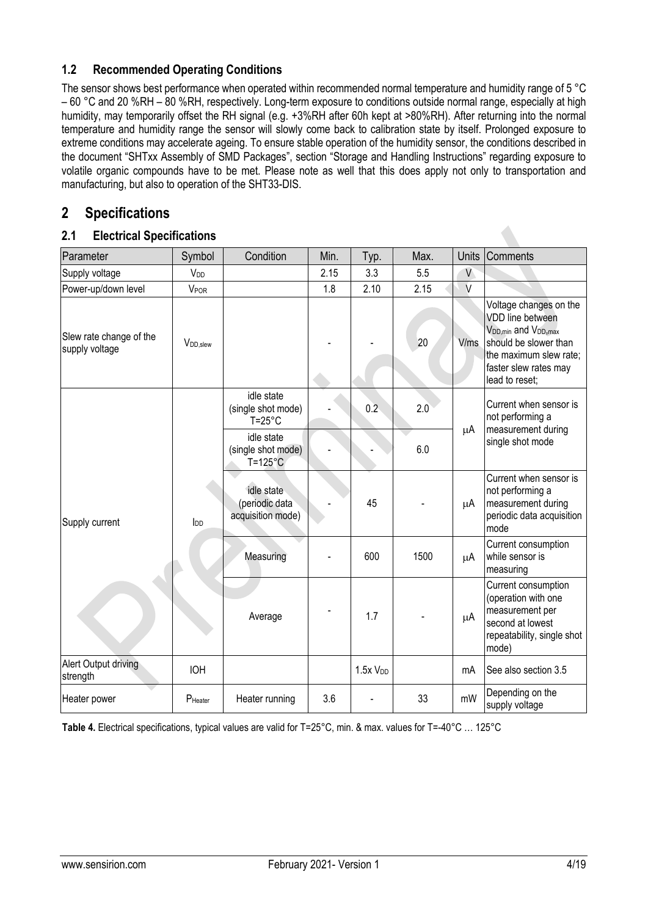#### <span id="page-3-1"></span>**1.2 Recommended Operating Conditions**

The sensor shows best performance when operated within recommended normal temperature and humidity range of 5 °C – 60 °C and 20 %RH – 80 %RH, respectively. Long-term exposure to conditions outside normal range, especially at high humidity, may temporarily offset the RH signal (e.g. +3%RH after 60h kept at >80%RH). After returning into the normal temperature and humidity range the sensor will slowly come back to calibration state by itself. Prolonged exposure to extreme conditions may accelerate ageing. To ensure stable operation of the humidity sensor, the conditions described in the document "SHTxx Assembly of SMD Packages", section "Storage and Handling Instructions" regarding exposure to volatile organic compounds have to be met. Please note as well that this does apply not only to transportation and manufacturing, but also to operation of the SHT33-DIS.

### <span id="page-3-0"></span>**2 Specifications**

#### **2.1 Electrical Specifications**

| Parameter                                 | Symbol               | Condition                                             | Min. | Typ.                | Max. | <b>Units</b> | <b>Comments</b>                                                                                                                                                                         |
|-------------------------------------------|----------------------|-------------------------------------------------------|------|---------------------|------|--------------|-----------------------------------------------------------------------------------------------------------------------------------------------------------------------------------------|
| Supply voltage                            | V <sub>DD</sub>      |                                                       | 2.15 | 3.3                 | 5.5  | V            |                                                                                                                                                                                         |
| Power-up/down level                       | VPOR                 |                                                       | 1.8  | 2.10                | 2.15 | $\vee$       |                                                                                                                                                                                         |
| Slew rate change of the<br>supply voltage | V <sub>DD,slew</sub> |                                                       |      |                     | 20   | V/ms         | Voltage changes on the<br>VDD line between<br>V <sub>DD,min</sub> and V <sub>DD,max</sub><br>should be slower than<br>the maximum slew rate;<br>faster slew rates may<br>lead to reset; |
|                                           |                      | idle state<br>(single shot mode)<br>$T = 25^{\circ}C$ |      | 0.2                 | 2.0  |              | Current when sensor is<br>not performing a<br>measurement during                                                                                                                        |
|                                           | $I_{DD}$             | idle state<br>(single shot mode)<br>$T = 125$ °C      |      |                     | 6.0  | μA           | single shot mode                                                                                                                                                                        |
| Supply current                            |                      | idle state<br>(periodic data<br>acquisition mode)     |      | 45                  |      | μA           | Current when sensor is<br>not performing a<br>measurement during<br>periodic data acquisition<br>mode                                                                                   |
|                                           |                      | Measuring                                             |      | 600                 | 1500 | μA           | Current consumption<br>while sensor is<br>measuring                                                                                                                                     |
|                                           |                      | Average                                               |      | 1.7                 |      | $\mu$ A      | Current consumption<br>(operation with one<br>measurement per<br>second at lowest<br>repeatability, single shot<br>mode)                                                                |
| Alert Output driving<br>strength          | <b>IOH</b>           |                                                       |      | 1.5xV <sub>DD</sub> |      | mA           | See also section 3.5                                                                                                                                                                    |
| Heater power                              | PHeater              | Heater running                                        | 3.6  |                     | 33   | mW           | Depending on the<br>supply voltage                                                                                                                                                      |

<span id="page-3-2"></span>**Table 4.** Electrical specifications, typical values are valid for T=25°C, min. & max. values for T=-40°C … 125°C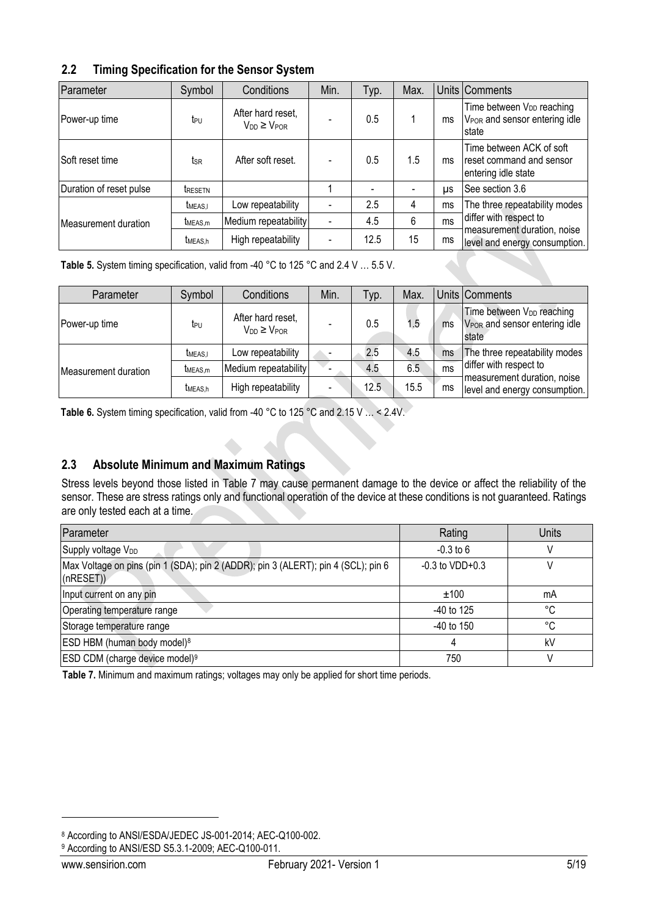| 2.2 |  | <b>Timing Specification for the Sensor System</b> |  |  |  |
|-----|--|---------------------------------------------------|--|--|--|
|-----|--|---------------------------------------------------|--|--|--|

| Parameter               | Symbol              | Conditions                                 | Min.                     | Typ. | Max. |           | Units Comments                                                                               |
|-------------------------|---------------------|--------------------------------------------|--------------------------|------|------|-----------|----------------------------------------------------------------------------------------------|
| Power-up time           | t <sub>PU</sub>     | After hard reset,<br>$V_{DD} \geq V_{POR}$ |                          | 0.5  |      | ms        | Time between V <sub>DD</sub> reaching<br>V <sub>POR</sub> and sensor entering idle<br>Istate |
| ISoft reset time        | tsr                 | After soft reset.                          |                          | 0.5  | 1.5  | ms        | Time between ACK of soft<br>reset command and sensor<br>entering idle state                  |
| Duration of reset pulse | <b>TRESETN</b>      |                                            |                          |      |      | <b>US</b> | See section 3.6                                                                              |
|                         | <b>TMEAS.I</b>      | Low repeatability                          |                          | 2.5  | 4    | ms        | The three repeatability modes                                                                |
| Measurement duration    | t <sub>MEAS,m</sub> | Medium repeatability                       | $\blacksquare$           | 4.5  | 6    | ms        | differ with respect to                                                                       |
|                         | t <sub>MEAS.h</sub> | High repeatability                         | $\overline{\phantom{a}}$ | 12.5 | 15   | ms        | measurement duration, noise<br>level and energy consumption.                                 |

<span id="page-4-1"></span>Table 5. System timing specification, valid from -40 °C to 125 °C and 2.4 V ... 5.5 V.

| Parameter            | Symbol              | Conditions                                 | Min. | Typ. | Max. |               | Units Comments                                                                              |
|----------------------|---------------------|--------------------------------------------|------|------|------|---------------|---------------------------------------------------------------------------------------------|
| Power-up time        | teu                 | After hard reset,<br>$V_{DD} \geq V_{POR}$ |      | 0.5  | 1.5  | ms            | Time between V <sub>DD</sub> reaching<br>V <sub>POR</sub> and sensor entering idle<br>state |
|                      | <b>TMEAS.I</b>      | Low repeatability                          |      | 2.5  | 4.5  | ms            | The three repeatability modes                                                               |
| Measurement duration | t <sub>MEAS,m</sub> | Medium repeatability                       |      | 4.5  | 6.5  | <sub>ms</sub> | differ with respect to                                                                      |
|                      | t <sub>MEAS.h</sub> | High repeatability                         |      | 12.5 | 15.5 | ms            | measurement duration, noise<br>level and energy consumption.                                |

Table 6. System timing specification, valid from -40 °C to 125 °C and 2.15 V ... < 2.4V.

### **2.3 Absolute Minimum and Maximum Ratings**

Stress levels beyond those listed in [Table 7](#page-4-0) may cause permanent damage to the device or affect the reliability of the sensor. These are stress ratings only and functional operation of the device at these conditions is not guaranteed. Ratings are only tested each at a time.

| Parameter                                                                                     | Rating               | <b>Units</b> |
|-----------------------------------------------------------------------------------------------|----------------------|--------------|
| Supply voltage V <sub>DD</sub>                                                                | $-0.3$ to 6          |              |
| Max Voltage on pins (pin 1 (SDA); pin 2 (ADDR); pin 3 (ALERT); pin 4 (SCL); pin 6<br>(nRESET) | $-0.3$ to VDD $+0.3$ |              |
| Input current on any pin                                                                      | ±100                 | mA           |
| Operating temperature range                                                                   | $-40$ to 125         | °C           |
| Storage temperature range                                                                     | $-40$ to 150         | °C           |
| ESD HBM (human body model) <sup>8</sup>                                                       |                      | kV           |
| ESD CDM (charge device model) <sup>9</sup>                                                    | 750                  |              |

<span id="page-4-0"></span>**Table 7.** Minimum and maximum ratings; voltages may only be applied for short time periods.

<sup>9</sup> According to ANSI/ESD S5.3.1-2009; AEC-Q100-011.

<sup>8</sup> According to ANSI/ESDA/JEDEC JS-001-2014; AEC-Q100-002.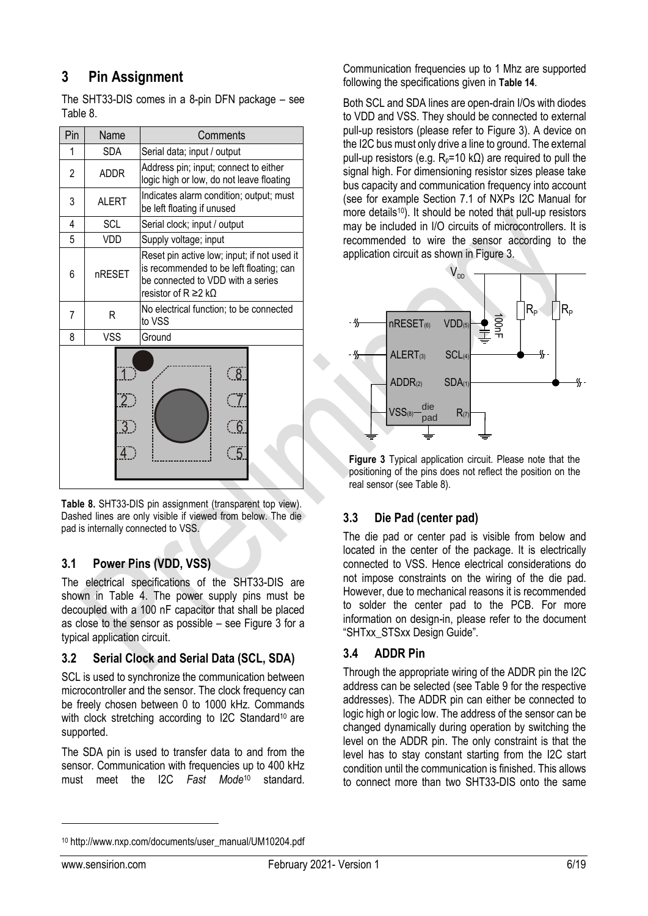## <span id="page-5-0"></span>**3 Pin Assignment**

The SHT33-DIS comes in a 8-pin DFN package – see [Table 8](#page-5-1).

| Pin | Name                              | Comments                                                                                                                                                        |  |  |
|-----|-----------------------------------|-----------------------------------------------------------------------------------------------------------------------------------------------------------------|--|--|
| 1   | <b>SDA</b>                        | Serial data; input / output                                                                                                                                     |  |  |
| 2   | <b>ADDR</b>                       | Address pin; input; connect to either<br>logic high or low, do not leave floating                                                                               |  |  |
| 3   | <b>ALERT</b>                      | Indicates alarm condition; output; must<br>be left floating if unused                                                                                           |  |  |
| 4   | <b>SCL</b>                        | Serial clock; input / output                                                                                                                                    |  |  |
| 5   | VDD                               | Supply voltage; input                                                                                                                                           |  |  |
| 6   | nRESET                            | Reset pin active low; input; if not used it<br>is recommended to be left floating; can<br>be connected to VDD with a series<br>resistor of $R \ge 2$ k $\Omega$ |  |  |
| 7   | R                                 | No electrical function; to be connected<br>to VSS                                                                                                               |  |  |
| 8   | <b>VSS</b>                        | Ground                                                                                                                                                          |  |  |
|     | $\mathcal{P}$<br>$\overline{3}$ ) | ි 8ි<br>$\sqrt{6}$<br>5                                                                                                                                         |  |  |

<span id="page-5-1"></span>**Table 8.** SHT33-DIS pin assignment (transparent top view). Dashed lines are only visible if viewed from below. The die pad is internally connected to VSS.

#### **3.1 Power Pins (VDD, VSS)**

The electrical specifications of the SHT33-DIS are shown in [Table 4.](#page-3-2) The power supply pins must be decoupled with a 100 nF capacitor that shall be placed as close to the sensor as possible – see [Figure 3](#page-5-2) for a typical application circuit.

#### **3.2 Serial Clock and Serial Data (SCL, SDA)**

SCL is used to synchronize the communication between microcontroller and the sensor. The clock frequency can be freely chosen between 0 to 1000 kHz. Commands with clock stretching according to I2C Standard<sup>10</sup> are supported.

The SDA pin is used to transfer data to and from the sensor. Communication with frequencies up to 400 kHz must meet the I2C *Fast Mode*[10](#page-5-3) standard.

Communication frequencies up to 1 Mhz are supported following the specifications given in **[Table 14](#page-12-0)**.

Both SCL and SDA lines are open-drain I/Os with diodes to VDD and VSS. They should be connected to external pull-up resistors (please refer to [Figure 3\)](#page-5-2). A device on the I2C bus must only drive a line to ground. The external pull-up resistors (e.g.  $R_p = 10$  kΩ) are required to pull the signal high. For dimensioning resistor sizes please take bus capacity and communication frequency into account (see for example Section 7.1 of NXPs I2C Manual for more details<sup>[10](#page-5-3)</sup>). It should be noted that pull-up resistors may be included in I/O circuits of microcontrollers. It is recommended to wire the sensor according to the application circuit as shown in [Figure 3.](#page-5-2)



<span id="page-5-2"></span>**Figure 3** Typical application circuit. Please note that the positioning of the pins does not reflect the position on the real sensor (see [Table 8](#page-5-1)).

### **3.3 Die Pad (center pad)**

The die pad or center pad is visible from below and located in the center of the package. It is electrically connected to VSS. Hence electrical considerations do not impose constraints on the wiring of the die pad. However, due to mechanical reasons it is recommended to solder the center pad to the PCB. For more information on design-in, please refer to the document "SHTxx\_STSxx Design Guide".

### **3.4 ADDR Pin**

<span id="page-5-3"></span>Through the appropriate wiring of the ADDR pin the I2C address can be selected (see [Table 9](#page-6-3) for the respective addresses). The ADDR pin can either be connected to logic high or logic low. The address of the sensor can be changed dynamically during operation by switching the level on the ADDR pin. The only constraint is that the level has to stay constant starting from the I2C start condition until the communication is finished. This allows to connect more than two SHT33-DIS onto the same

<sup>10</sup> http://www.nxp.com/documents/user\_manual/UM10204.pdf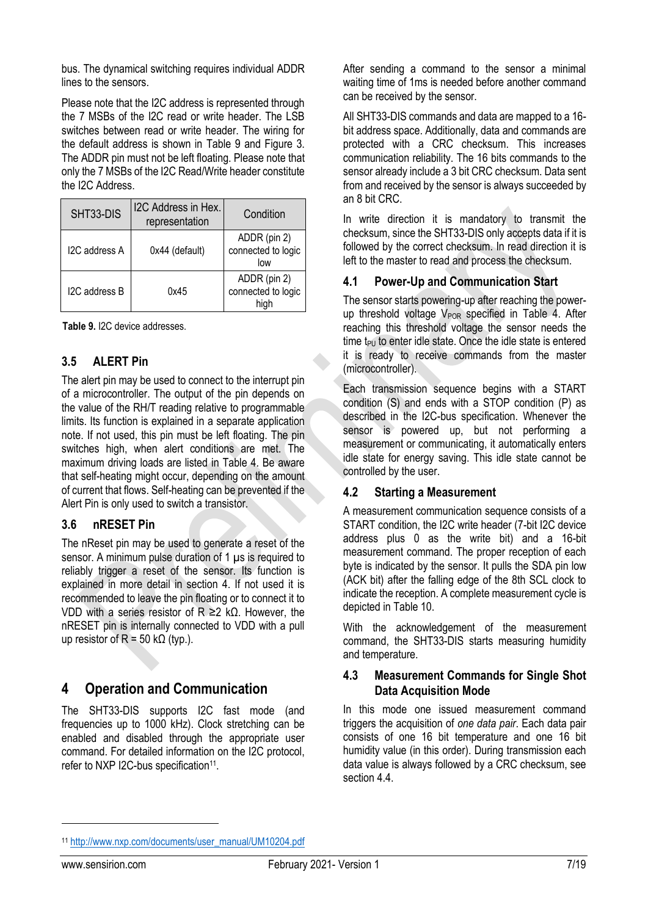bus. The dynamical switching requires individual ADDR lines to the sensors.

Please note that the I2C address is represented through the 7 MSBs of the I2C read or write header. The LSB switches between read or write header. The wiring for the default address is shown in [Table 9](#page-6-3) and [Figure 3.](#page-5-2) The ADDR pin must not be left floating. Please note that only the 7 MSBs of the I2C Read/Write header constitute the I2C Address.

| SHT33-DIS     | I2C Address in Hex.<br>representation | Condition                                  |
|---------------|---------------------------------------|--------------------------------------------|
| I2C address A | 0x44 (default)                        | ADDR (pin 2)<br>connected to logic<br>low  |
| I2C address B | 0x45                                  | ADDR (pin 2)<br>connected to logic<br>high |

<span id="page-6-3"></span>**Table 9.** I2C device addresses.

#### <span id="page-6-1"></span>**3.5 ALERT Pin**

The alert pin may be used to connect to the interrupt pin of a microcontroller. The output of the pin depends on the value of the RH/T reading relative to programmable limits. Its function is explained in a separate application note. If not used, this pin must be left floating. The pin switches high, when alert conditions are met. The maximum driving loads are listed in [Table 4.](#page-3-2) Be aware that self-heating might occur, depending on the amount of current that flows. Self-heating can be prevented if the Alert Pin is only used to switch a transistor.

#### <span id="page-6-2"></span>**3.6 nRESET Pin**

The nReset pin may be used to generate a reset of the sensor. A minimum pulse duration of 1 µs is required to reliably trigger a reset of the sensor. Its function is explained in more detail in section [4.](#page-6-0) If not used it is recommended to leave the pin floating or to connect it to VDD with a series resistor of R ≥2 kΩ. However, the nRESET pin is internally connected to VDD with a pull up resistor of  $R = 50$  k $\Omega$  (typ.).

### <span id="page-6-0"></span>**4 Operation and Communication**

The SHT33-DIS supports I2C fast mode (and frequencies up to 1000 kHz). Clock stretching can be enabled and disabled through the appropriate user command. For detailed information on the I2C protocol, refer to NXP I2C-bus specification<sup>11</sup>.

After sending a command to the sensor a minimal waiting time of 1ms is needed before another command can be received by the sensor.

All SHT33-DIS commands and data are mapped to a 16 bit address space. Additionally, data and commands are protected with a CRC checksum. This increases communication reliability. The 16 bits commands to the sensor already include a 3 bit CRC checksum. Data sent from and received by the sensor is always succeeded by an 8 bit CRC.

In write direction it is mandatory to transmit the checksum, since the SHT33-DIS only accepts data if it is followed by the correct checksum. In read direction it is left to the master to read and process the checksum.

#### **4.1 Power-Up and Communication Start**

The sensor starts powering-up after reaching the powerup threshold voltage  $V_{POR}$  specified in [Table 4.](#page-3-2) After reaching this threshold voltage the sensor needs the time  $t_{\text{PU}}$  to enter idle state. Once the idle state is entered it is ready to receive commands from the master (microcontroller).

Each transmission sequence begins with a START condition (S) and ends with a STOP condition (P) as described in the I2C-bus specification. Whenever the sensor is powered up, but not performing a measurement or communicating, it automatically enters idle state for energy saving. This idle state cannot be controlled by the user.

#### **4.2 Starting a Measurement**

A measurement communication sequence consists of a START condition, the I2C write header (7-bit I2C device address plus 0 as the write bit) and a 16-bit measurement command. The proper reception of each byte is indicated by the sensor. It pulls the SDA pin low (ACK bit) after the falling edge of the 8th SCL clock to indicate the reception. A complete measurement cycle is depicted i[n Table 10.](#page-7-0)

With the acknowledgement of the measurement command, the SHT33-DIS starts measuring humidity and temperature.

#### **4.3 Measurement Commands for Single Shot Data Acquisition Mode**

<span id="page-6-4"></span>In this mode one issued measurement command triggers the acquisition of *one data pair*. Each data pair consists of one 16 bit temperature and one 16 bit humidity value (in this order). During transmission each data value is always followed by a CRC checksum, see sectio[n 4.4.](#page-7-1)

<sup>11</sup> [http://www.nxp.com/documents/user\\_manual/UM10204.pdf](http://www.nxp.com/documents/user_manual/UM10204.pdf)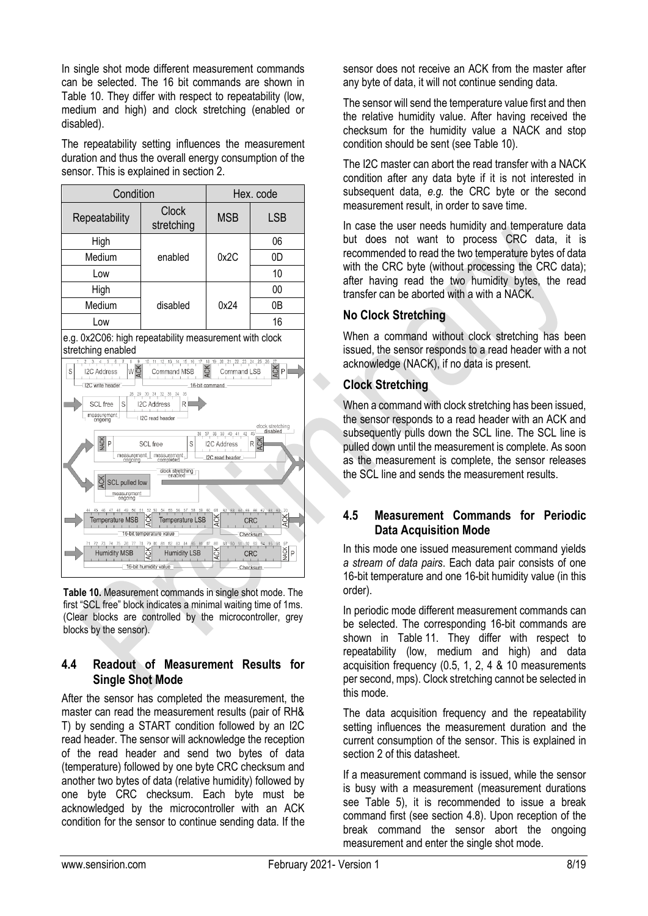In single shot mode different measurement commands can be selected. The 16 bit commands are shown in [Table 10.](#page-7-0) They differ with respect to repeatability (low, medium and high) and clock stretching (enabled or disabled).

The repeatability setting influences the measurement duration and thus the overall energy consumption of the sensor. This is explained in section [2.](#page-3-0)



<span id="page-7-0"></span>**Table 10.** Measurement commands in single shot mode. The first "SCL free" block indicates a minimal waiting time of 1ms. (Clear blocks are controlled by the microcontroller, grey blocks by the sensor).

#### <span id="page-7-1"></span>**4.4 Readout of Measurement Results for Single Shot Mode**

After the sensor has completed the measurement, the master can read the measurement results (pair of RH& T) by sending a START condition followed by an I2C read header. The sensor will acknowledge the reception of the read header and send two bytes of data (temperature) followed by one byte CRC checksum and another two bytes of data (relative humidity) followed by one byte CRC checksum. Each byte must be acknowledged by the microcontroller with an ACK condition for the sensor to continue sending data. If the

sensor does not receive an ACK from the master after any byte of data, it will not continue sending data.

The sensor will send the temperature value first and then the relative humidity value. After having received the checksum for the humidity value a NACK and stop condition should be sent (see [Table 10\)](#page-7-0).

The I2C master can abort the read transfer with a NACK condition after any data byte if it is not interested in subsequent data, *e.g.* the CRC byte or the second measurement result, in order to save time.

In case the user needs humidity and temperature data but does not want to process CRC data, it is recommended to read the two temperature bytes of data with the CRC byte (without processing the CRC data); after having read the two humidity bytes, the read transfer can be aborted with a with a NACK.

#### **No Clock Stretching**

When a command without clock stretching has been issued, the sensor responds to a read header with a not acknowledge (NACK), if no data is present.

#### **Clock Stretching**

When a command with clock stretching has been issued, the sensor responds to a read header with an ACK and subsequently pulls down the SCL line. The SCL line is pulled down until the measurement is complete. As soon as the measurement is complete, the sensor releases the SCL line and sends the measurement results.

#### <span id="page-7-2"></span>**4.5 Measurement Commands for Periodic Data Acquisition Mode**

In this mode one issued measurement command yields *a stream of data pairs*. Each data pair consists of one 16-bit temperature and one 16-bit humidity value (in this order).

In periodic mode different measurement commands can be selected. The corresponding 16-bit commands are shown in [Table](#page-8-1) 11. They differ with respect to repeatability (low, medium and high) and data acquisition frequency (0.5, 1, 2, 4 & 10 measurements per second, mps). Clock stretching cannot be selected in this mode.

The data acquisition frequency and the repeatability setting influences the measurement duration and the current consumption of the sensor. This is explained in section [2](#page-3-0) of this datasheet.

If a measurement command is issued, while the sensor is busy with a measurement (measurement durations see [Table 5\)](#page-4-1), it is recommended to issue a break command first (see section [4.8\)](#page-8-2). Upon reception of the break command the sensor abort the ongoing measurement and enter the single shot mode.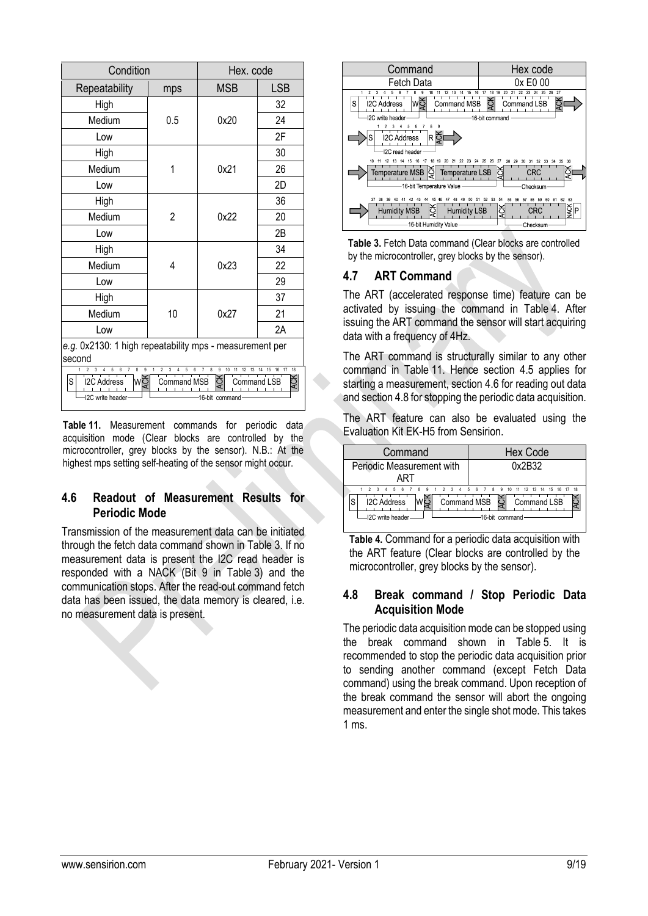| Condition                                                                                                                                                                                                                                                   | Hex. code      |            |            |  |
|-------------------------------------------------------------------------------------------------------------------------------------------------------------------------------------------------------------------------------------------------------------|----------------|------------|------------|--|
| Repeatability                                                                                                                                                                                                                                               | mps            | <b>MSB</b> | <b>LSB</b> |  |
| High                                                                                                                                                                                                                                                        |                |            | 32         |  |
| Medium                                                                                                                                                                                                                                                      | 0.5            | 0x20       | 24         |  |
| Low                                                                                                                                                                                                                                                         |                |            | 2F         |  |
| High                                                                                                                                                                                                                                                        |                |            | 30         |  |
| Medium                                                                                                                                                                                                                                                      | 1              | 0x21       | 26         |  |
| Low                                                                                                                                                                                                                                                         |                |            | 2D         |  |
| High                                                                                                                                                                                                                                                        |                |            | 36         |  |
| Medium                                                                                                                                                                                                                                                      | $\overline{2}$ | 0x22       | 20         |  |
| Low                                                                                                                                                                                                                                                         |                |            | 2B         |  |
| High                                                                                                                                                                                                                                                        |                |            | 34         |  |
| Medium                                                                                                                                                                                                                                                      | 4              | 0x23       | 22         |  |
| Low                                                                                                                                                                                                                                                         |                |            | 29         |  |
| High                                                                                                                                                                                                                                                        |                |            | 37         |  |
| Medium                                                                                                                                                                                                                                                      | 10             | 0x27       | 21         |  |
| Low                                                                                                                                                                                                                                                         |                |            | 2A         |  |
| e.g. 0x2130: 1 high repeatability mps - measurement per<br>second                                                                                                                                                                                           |                |            |            |  |
| $\overline{9}$<br>8<br>8<br>9<br>10<br>18<br>5<br>6<br>$\overline{c}$<br>3<br>$\overline{7}$<br>17<br>5<br>11<br>12<br>16<br>13<br>15<br>Ř<br>IMŘ<br>S<br><b>LSB</b><br><b>I2C Address</b><br>Command MSB<br>Command)<br>I2C write header<br>16-bit command |                |            |            |  |

<span id="page-8-1"></span>**Table 11.** Measurement commands for periodic data acquisition mode (Clear blocks are controlled by the microcontroller, grey blocks by the sensor). N.B.: At the highest mps setting self-heating of the sensor might occur.

#### <span id="page-8-5"></span>**4.6 Readout of Measurement Results for Periodic Mode**

Transmission of the measurement data can be initiated through the fetch data command shown in [Table](#page-8-3) 3. If no measurement data is present the I2C read header is responded with a NACK (Bit 9 in [Table](#page-8-3) 3) and the communication stops. After the read-out command fetch data has been issued, the data memory is cleared, i.e. no measurement data is present.



<span id="page-8-3"></span>**Table 3.** Fetch Data command (Clear blocks are controlled by the microcontroller, grey blocks by the sensor).

#### <span id="page-8-0"></span>**4.7 ART Command**

The ART (accelerated response time) feature can be activated by issuing the command in [Table](#page-8-4) 4. After issuing the ART command the sensor will start acquiring data with a frequency of 4Hz.

The ART command is structurally similar to any other command in [Table](#page-8-1) 11. Hence section [4.5](#page-7-2) applies for starting a measurement, section [4.6](#page-8-5) for reading out data and sectio[n 4.8](#page-8-2) for stopping the periodic data acquisition.

The ART feature can also be evaluated using the Evaluation Kit EK-H5 from Sensirion.



<span id="page-8-4"></span>**Table 4.** Command for a periodic data acquisition with the ART feature (Clear blocks are controlled by the microcontroller, grey blocks by the sensor).

#### <span id="page-8-2"></span>**4.8 Break command / Stop Periodic Data Acquisition Mode**

The periodic data acquisition mode can be stopped using the break command shown in [Table](#page-9-1) 5. It is recommended to stop the periodic data acquisition prior to sending another command (except Fetch Data command) using the break command. Upon reception of the break command the sensor will abort the ongoing measurement and enter the single shot mode. This takes 1 ms.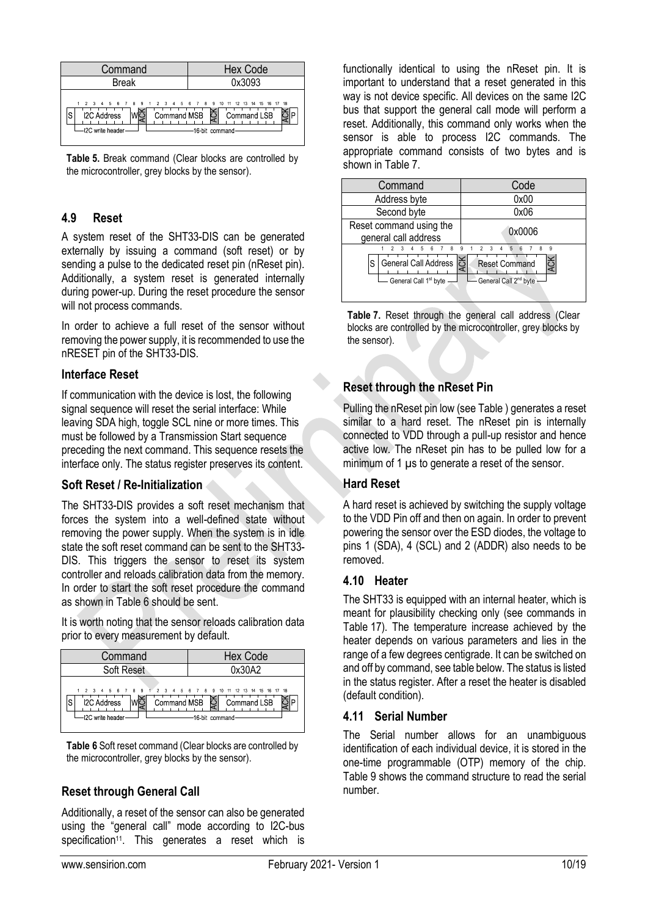

<span id="page-9-1"></span>**Table 5.** Break command (Clear blocks are controlled by the microcontroller, grey blocks by the sensor).

#### **4.9 Reset**

A system reset of the SHT33-DIS can be generated externally by issuing a command (soft reset) or by sending a pulse to the dedicated reset pin (nReset pin). Additionally, a system reset is generated internally during power-up. During the reset procedure the sensor will not process commands.

In order to achieve a full reset of the sensor without removing the power supply, it is recommended to use the nRESET pin of the SHT33-DIS.

#### **Interface Reset**

If communication with the device is lost, the following signal sequence will reset the serial interface: While leaving SDA high, toggle SCL nine or more times. This must be followed by a Transmission Start sequence preceding the next command. This sequence resets the interface only. The status register preserves its content.

#### **Soft Reset / Re-Initialization**

The SHT33-DIS provides a soft reset mechanism that forces the system into a well-defined state without removing the power supply. When the system is in idle state the soft reset command can be sent to the SHT33- DIS. This triggers the sensor to reset its system controller and reloads calibration data from the memory. In order to start the soft reset procedure the command as shown in [Table](#page-9-2) 6 should be sent.

It is worth noting that the sensor reloads calibration data prior to every measurement by default.



<span id="page-9-2"></span>**Table 6** Soft reset command (Clear blocks are controlled by the microcontroller, grey blocks by the sensor).

#### **Reset through General Call**

Additionally, a reset of the sensor can also be generated using the "general call" mode according to I2C-bus specification<sup>[11](#page-6-4)</sup>. This generates a reset which is functionally identical to using the nReset pin. It is important to understand that a reset generated in this way is not device specific. All devices on the same I2C bus that support the general call mode will perform a reset. Additionally, this command only works when the sensor is able to process I2C commands. The appropriate command consists of two bytes and is shown i[n Table](#page-9-3) 7.



<span id="page-9-3"></span>**Table 7.** Reset through the general call address (Clear blocks are controlled by the microcontroller, grey blocks by the sensor).

#### **Reset through the nReset Pin**

Pulling the nReset pin low (se[e Table \)](#page-5-1) generates a reset similar to a hard reset. The nReset pin is internally connected to VDD through a pull-up resistor and hence active low. The nReset pin has to be pulled low for a minimum of 1  $\mu$ s to generate a reset of the sensor.

#### **Hard Reset**

A hard reset is achieved by switching the supply voltage to the VDD Pin off and then on again. In order to prevent powering the sensor over the ESD diodes, the voltage to pins 1 (SDA), 4 (SCL) and 2 (ADDR) also needs to be removed.

#### **4.10 Heater**

The SHT33 is equipped with an internal heater, which is meant for plausibility checking only (see commands in Table 17). The temperature increase achieved by the heater depends on various parameters and lies in the range of a few degrees centigrade. It can be switched on and off by command, see table below. The status is listed in the status register. After a reset the heater is disabled (default condition).

#### <span id="page-9-0"></span>**4.11 Serial Number**

The Serial number allows for an unambiguous identification of each individual device, it is stored in the one-time programmable (OTP) memory of the chip. [Table 9](#page-10-0) shows the command structure to read the serial number.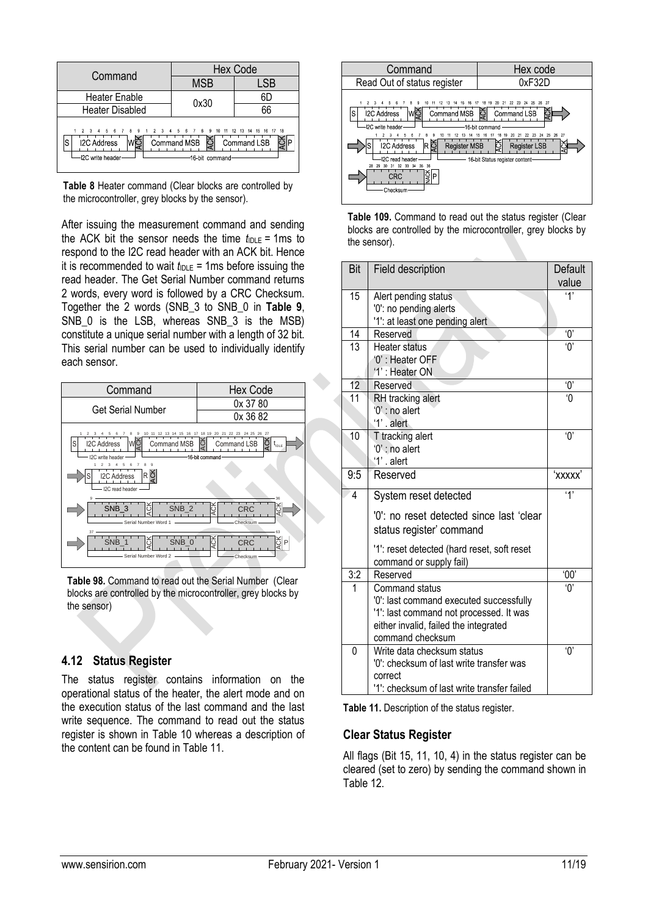|                                                                 | <b>Hex Code</b>                                                                   |             |  |  |
|-----------------------------------------------------------------|-----------------------------------------------------------------------------------|-------------|--|--|
| Command                                                         | <b>MSB</b>                                                                        | LSB         |  |  |
| <b>Heater Enable</b>                                            | 0x30                                                                              | 6D          |  |  |
| <b>Heater Disabled</b>                                          |                                                                                   | 66          |  |  |
| 2 3 4 5 6 7 8 9<br><b>I2C Address</b><br>S<br>-I2C write header | 2 3 4 5 6 7 8 9 10 11 12 13 14 15 16 17 18<br>č<br>Command MSB<br>-16 bit command | Command LSB |  |  |

**Table 8** Heater command (Clear blocks are controlled by the microcontroller, grey blocks by the sensor).

After issuing the measurement command and sending the ACK bit the sensor needs the time  $t_{\text{IDE}} = 1 \text{ms}$  to respond to the I2C read header with an ACK bit. Hence it is recommended to wait  $t_{\text{IDLE}} = 1 \text{ms}$  before issuing the read header. The Get Serial Number command returns 2 words, every word is followed by a CRC Checksum. Together the 2 words (SNB\_3 to SNB\_0 in **[Table 9](#page-10-0)**, SNB 0 is the LSB, whereas SNB 3 is the MSB) constitute a unique serial number with a length of 32 bit. This serial number can be used to individually identify each sensor.



<span id="page-10-0"></span>**Table 98.** Command to read out the Serial Number (Clear blocks are controlled by the microcontroller, grey blocks by the sensor)

#### **4.12 Status Register**

The status register contains information on the operational status of the heater, the alert mode and on the execution status of the last command and the last write sequence. The command to read out the status register is shown in [Table 10](#page-10-1) whereas a description of the content can be found in [Table 11.](#page-10-2)



<span id="page-10-1"></span>

| Table 109. Command to read out the status register (Clear    |
|--------------------------------------------------------------|
| blocks are controlled by the microcontroller, grey blocks by |
| the sensor).                                                 |

| Bit             | Field description                                                                                                                                                 | Default<br>value      |
|-----------------|-------------------------------------------------------------------------------------------------------------------------------------------------------------------|-----------------------|
| 15              | Alert pending status<br>'0': no pending alerts<br>'1': at least one pending alert                                                                                 | '1'                   |
| 14              | Reserved                                                                                                                                                          | Ό,                    |
| 13              | Heater status<br>'0' : Heater OFF<br>'1': Heater ON                                                                                                               | 'ዐ'                   |
| 12              | Reserved                                                                                                                                                          | $^{\prime}0^{\prime}$ |
| 11              | RH tracking alert<br>'0' : no alert<br>$'1'$ . alert                                                                                                              | $\overline{0}$        |
| $\overline{10}$ | T tracking alert<br>'0' : no alert<br>'1' . alert                                                                                                                 | $^{\prime}0^{\prime}$ |
| 9:5             | Reserved                                                                                                                                                          | 'xxxxx'               |
| $\overline{4}$  | System reset detected                                                                                                                                             | $\mathbf{y}$          |
|                 | '0': no reset detected since last 'clear<br>status register' command                                                                                              |                       |
|                 | '1': reset detected (hard reset, soft reset<br>command or supply fail)                                                                                            |                       |
| 3:2             | Reserved                                                                                                                                                          | 00'                   |
| 1               | Command status<br>'0': last command executed successfully<br>'1': last command not processed. It was<br>either invalid, failed the integrated<br>command checksum | 'በ'                   |
| 0               | Write data checksum status<br>'0': checksum of last write transfer was<br>correct<br>'1': checksum of last write transfer failed                                  | $^{\prime}0^{\prime}$ |

<span id="page-10-2"></span>**Table 11.** Description of the status register.

#### **Clear Status Register**

All flags (Bit 15, 11, 10, 4) in the status register can be cleared (set to zero) by sending the command shown in [Table 12.](#page-11-0)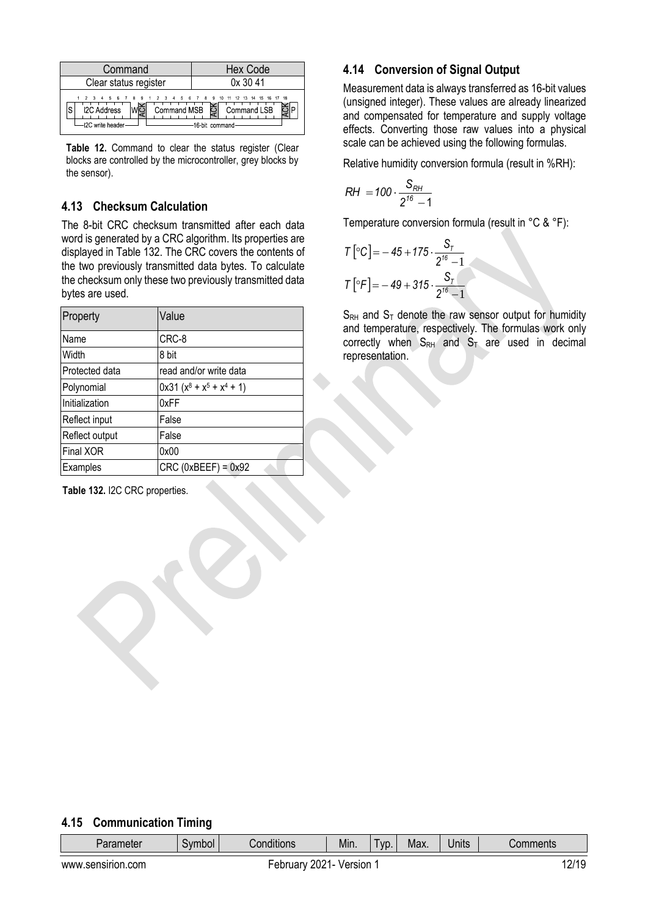| Command                                                                                                         | <b>Hex Code</b>                                    |
|-----------------------------------------------------------------------------------------------------------------|----------------------------------------------------|
| Clear status register                                                                                           | 0x3041                                             |
| 1 2 3 4 5 6 7 8 9 1 2 3 4 5 6 7 8 9 10 11 12 13 14 15 16 17 18<br><b>I2C Address</b><br>S<br>-12C write header- | Command MSB $\sum$ Command LSB<br>-16-bit command- |

<span id="page-11-0"></span>Table 12. Command to clear the status register (Clear blocks are controlled by the microcontroller, grey blocks by the sensor).

#### **4.13 Checksum Calculation**

The 8-bit CRC checksum transmitted after each data word is generated by a CRC algorithm. Its properties are displayed in [Table 132](#page-11-1). The CRC covers the contents of the two previously transmitted data bytes. To calculate the checksum only these two previously transmitted data bytes are used.

| Property         | Value                        |
|------------------|------------------------------|
| Name             | CRC-8                        |
| Width            | 8 bit                        |
| Protected data   | read and/or write data       |
| Polynomial       | $0x31 (x^8 + x^5 + x^4 + 1)$ |
| Initialization   | 0xFF                         |
| Reflect input    | False                        |
| Reflect output   | False                        |
| <b>Final XOR</b> | 0x00                         |
| Examples         | $CRC$ (0xBEEF) = $0x92$      |

<span id="page-11-1"></span>**Table 132.** I2C CRC properties.

### **4.14 Conversion of Signal Output**

Measurement data is always transferred as 16-bit values (unsigned integer). These values are already linearized and compensated for temperature and supply voltage effects. Converting those raw values into a physical scale can be achieved using the following formulas.

Relative humidity conversion formula (result in %RH):

$$
RH = 100 \cdot \frac{S_{RH}}{2^{16} - 1}
$$

Temperature conversion formula (result in °C & °F):

$$
T\left[ {}^{\circ}C \right] = -45 + 175 \cdot \frac{S_{T}}{2^{16} - 1}
$$

$$
T\left[ {}^{\circ}F \right] = -49 + 315 \cdot \frac{S_{T}}{2^{16} - 1}
$$

 $S_{RH}$  and  $S_T$  denote the raw sensor output for humidity and temperature, respectively. The formulas work only correctly when  $S_{RH}$  and  $S_T$  are used in decimal representation.

#### **4.15 Communication Timing**

| Parameter<br>odmrč | 1.7.4.1<br>Conditions | . .<br>Min. | VD. | Max. | Units | Comments |
|--------------------|-----------------------|-------------|-----|------|-------|----------|
|--------------------|-----------------------|-------------|-----|------|-------|----------|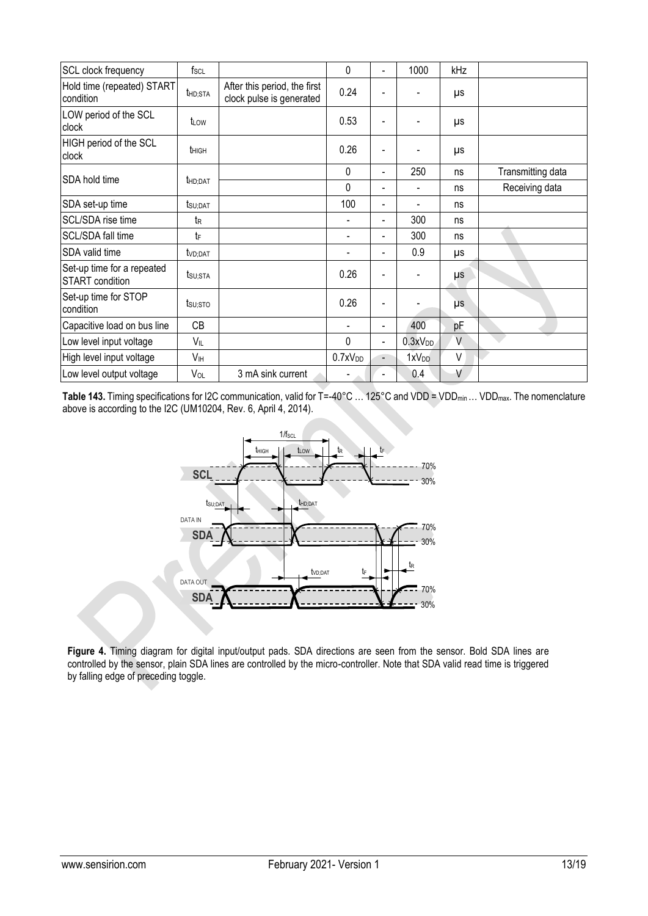| SCL clock frequency                                  | $f_{SCL}$           |                                                          | $\Omega$            | $\overline{\phantom{0}}$ | 1000                | kHz |                   |
|------------------------------------------------------|---------------------|----------------------------------------------------------|---------------------|--------------------------|---------------------|-----|-------------------|
| Hold time (repeated) START<br>condition              | thd;sta             | After this period, the first<br>clock pulse is generated | 0.24                |                          |                     | μs  |                   |
| LOW period of the SCL<br>clock                       | t⊥ow                |                                                          | 0.53                | ٠                        |                     | μs  |                   |
| HIGH period of the SCL<br>clock                      | t <sub>HIGH</sub>   |                                                          | 0.26                |                          |                     | μs  |                   |
| SDA hold time                                        |                     |                                                          | $\mathbf 0$         | ٠                        | 250                 | ns  | Transmitting data |
|                                                      | t <sub>HD;DAT</sub> |                                                          | $\Omega$            | $\blacksquare$           |                     | ns  | Receiving data    |
| SDA set-up time                                      | $t$ su;dat          |                                                          | 100                 | $\blacksquare$           |                     | ns  |                   |
| SCL/SDA rise time                                    | tr                  |                                                          |                     | $\overline{\phantom{0}}$ | 300                 | ns  |                   |
| SCL/SDA fall time                                    | tF                  |                                                          |                     | $\overline{\phantom{0}}$ | 300                 | ns  |                   |
| SDA valid time                                       | t <sub>VD:DAT</sub> |                                                          |                     | $\overline{\phantom{0}}$ | 0.9                 | μs  |                   |
| Set-up time for a repeated<br><b>START</b> condition | tsu;sta             |                                                          | 0.26                |                          |                     | μs  |                   |
| Set-up time for STOP<br>condition                    | tsu;sto             |                                                          | 0.26                |                          |                     | μs  |                   |
| Capacitive load on bus line                          | CB                  |                                                          |                     | $\blacksquare$           | 400                 | pF  |                   |
| Low level input voltage                              | VIL                 |                                                          | $\Omega$            | $\blacksquare$           | 0.3xV <sub>DD</sub> | V   |                   |
| High level input voltage                             | V <sub>IH</sub>     |                                                          | 0.7xV <sub>DD</sub> | $\blacksquare$           | 1xV <sub>DD</sub>   | V   |                   |
| Low level output voltage                             | VOL                 | 3 mA sink current                                        |                     | $\blacksquare$           | 0.4                 | ٧   |                   |

<span id="page-12-0"></span>Table 143. Timing specifications for I2C communication, valid for T=-40°C ... 125°C and VDD = VDD<sub>min</sub> ... VDD<sub>max</sub>. The nomenclature above is according to the I2C (UM10204, Rev. 6, April 4, 2014).



**Figure 4.** Timing diagram for digital input/output pads. SDA directions are seen from the sensor. Bold SDA lines are controlled by the sensor, plain SDA lines are controlled by the micro-controller. Note that SDA valid read time is triggered by falling edge of preceding toggle.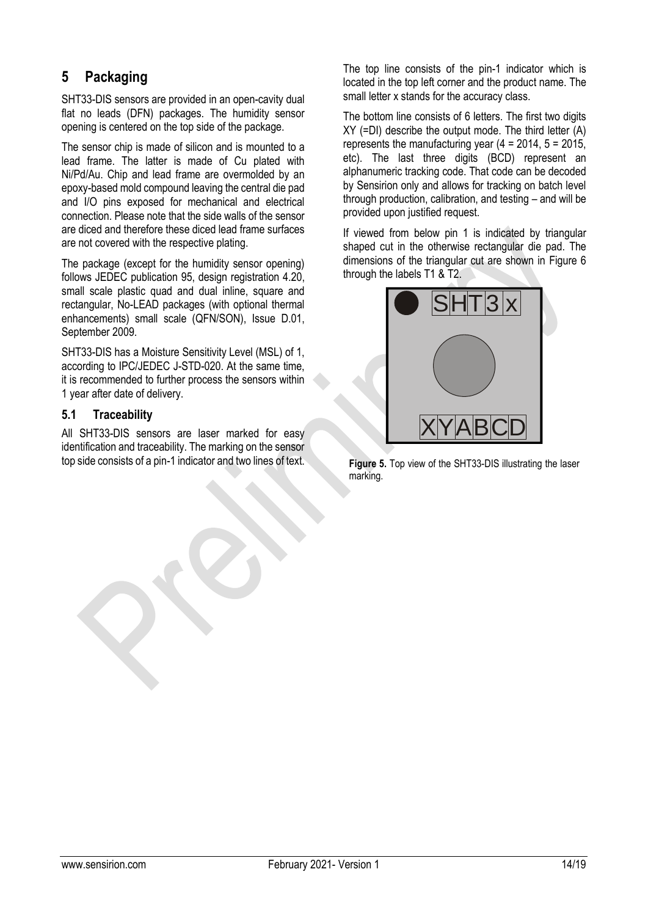### <span id="page-13-0"></span>**5 Packaging**

SHT33-DIS sensors are provided in an open-cavity dual flat no leads (DFN) packages. The humidity sensor opening is centered on the top side of the package.

The sensor chip is made of silicon and is mounted to a lead frame. The latter is made of Cu plated with Ni/Pd/Au. Chip and lead frame are overmolded by an epoxy-based mold compound leaving the central die pad and I/O pins exposed for mechanical and electrical connection. Please note that the side walls of the sensor are diced and therefore these diced lead frame surfaces are not covered with the respective plating.

The package (except for the humidity sensor opening) follows JEDEC publication 95, design registration 4.20, small scale plastic quad and dual inline, square and rectangular, No-LEAD packages (with optional thermal enhancements) small scale (QFN/SON), Issue D.01, September 2009.

SHT33-DIS has a Moisture Sensitivity Level (MSL) of 1, according to IPC/JEDEC J-STD-020. At the same time, it is recommended to further process the sensors within 1 year after date of delivery.

#### **5.1 Traceability**

All SHT33-DIS sensors are laser marked for easy identification and traceability. The marking on the sensor top side consists of a pin-1 indicator and two lines of text.

The top line consists of the pin-1 indicator which is located in the top left corner and the product name. The small letter x stands for the accuracy class.

The bottom line consists of 6 letters. The first two digits XY (=DI) describe the output mode. The third letter (A) represents the manufacturing year  $(4 = 2014, 5 = 2015,$ etc). The last three digits (BCD) represent an alphanumeric tracking code. That code can be decoded by Sensirion only and allows for tracking on batch level through production, calibration, and testing – and will be provided upon justified request.

If viewed from below pin 1 is indicated by triangular shaped cut in the otherwise rectangular die pad. The dimensions of the triangular cut are shown in [Figure 6](#page-14-0) through the labels T1 & T2.



**Figure 5.** Top view of the SHT33-DIS illustrating the laser marking.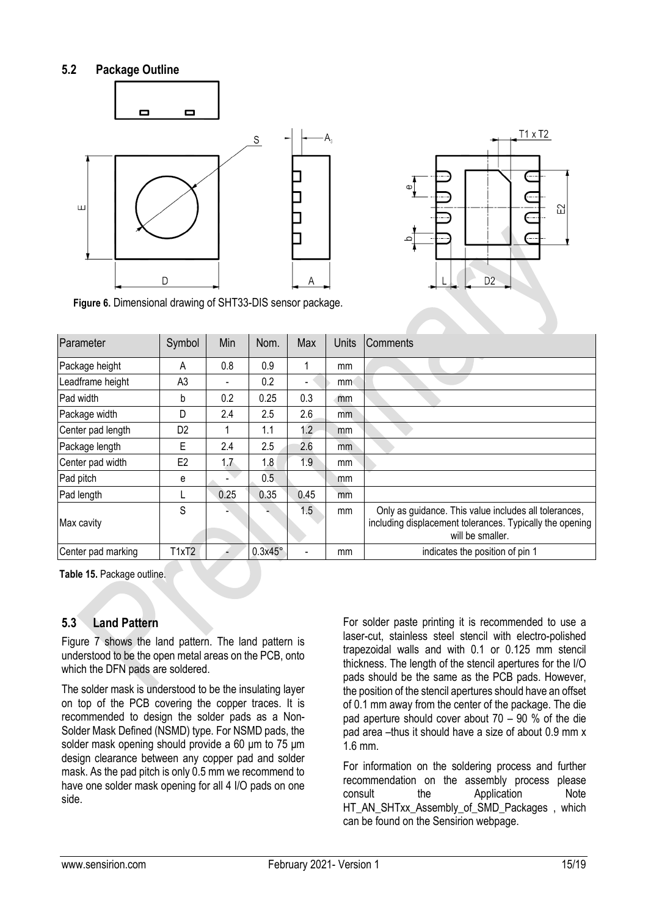#### **5.2 Package Outline**





<span id="page-14-0"></span>**Figure 6.** Dimensional drawing of SHT33-DIS sensor package.

| Parameter          | Symbol         | Min  | Nom.    | Max  | <b>Units</b> | Comments                                                                                                                              |
|--------------------|----------------|------|---------|------|--------------|---------------------------------------------------------------------------------------------------------------------------------------|
| Package height     | A              | 0.8  | 0.9     |      | mm           |                                                                                                                                       |
| Leadframe height   | A <sub>3</sub> |      | 0.2     |      | mm           |                                                                                                                                       |
| Pad width          | b              | 0.2  | 0.25    | 0.3  | mm           |                                                                                                                                       |
| Package width      | D              | 2.4  | 2.5     | 2.6  | mm           |                                                                                                                                       |
| Center pad length  | D <sub>2</sub> | 1    | 1.1     | 1.2  | mm           |                                                                                                                                       |
| Package length     | Е              | 2.4  | 2.5     | 2.6  | mm           |                                                                                                                                       |
| Center pad width   | E2             | 1.7  | 1.8     | 1.9  | mm           |                                                                                                                                       |
| Pad pitch          | e              |      | 0.5     |      | mm           |                                                                                                                                       |
| Pad length         |                | 0.25 | 0.35    | 0.45 | mm           |                                                                                                                                       |
| Max cavity         | S              |      |         | 1.5  | mm           | Only as guidance. This value includes all tolerances,<br>including displacement tolerances. Typically the opening<br>will be smaller. |
| Center pad marking | T1xT2          |      | 0.3x45° |      | mm           | indicates the position of pin 1                                                                                                       |

**Table 15.** Package outline.

#### **5.3 Land Pattern**

[Figure 7](#page-15-1) shows the land pattern. The land pattern is understood to be the open metal areas on the PCB, onto which the DFN pads are soldered.

The solder mask is understood to be the insulating layer on top of the PCB covering the copper traces. It is recommended to design the solder pads as a Non-Solder Mask Defined (NSMD) type. For NSMD pads, the solder mask opening should provide a 60 um to 75 um design clearance between any copper pad and solder mask. As the pad pitch is only 0.5 mm we recommend to have one solder mask opening for all 4 I/O pads on one side.

For solder paste printing it is recommended to use a laser-cut, stainless steel stencil with electro-polished trapezoidal walls and with 0.1 or 0.125 mm stencil thickness. The length of the stencil apertures for the I/O pads should be the same as the PCB pads. However, the position of the stencil apertures should have an offset of 0.1 mm away from the center of the package. The die pad aperture should cover about 70 – 90 % of the die pad area –thus it should have a size of about 0.9 mm x 1.6 mm.

For information on the soldering process and further recommendation on the assembly process please consult the Application Note HT\_AN\_SHTxx\_Assembly\_of\_SMD\_Packages , which can be found on the Sensirion webpage.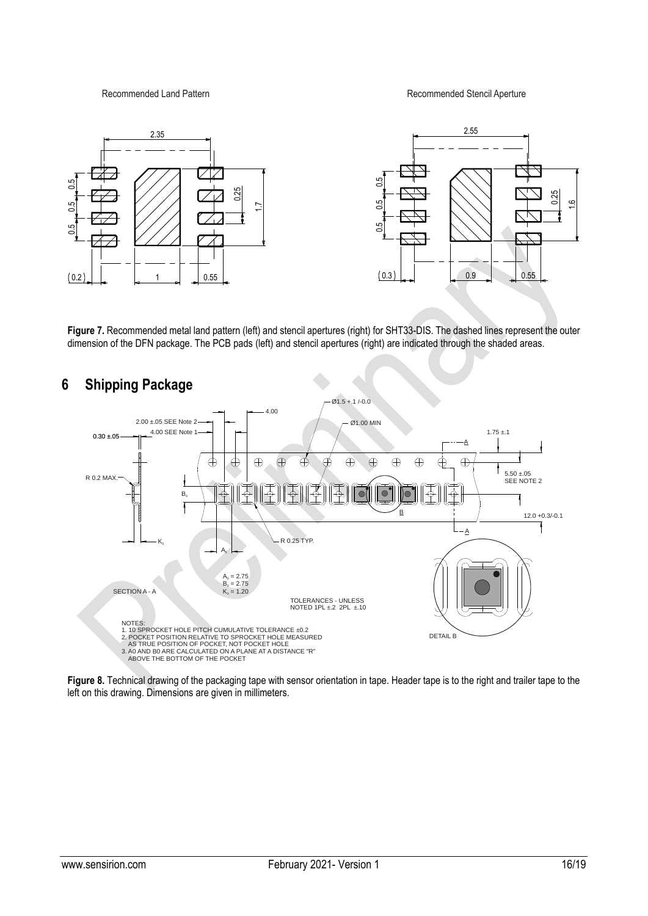Recommended Land Pattern **Recommended Stencil Aperture** 



<span id="page-15-1"></span>**Figure 7.** Recommended metal land pattern (left) and stencil apertures (right) for SHT33-DIS. The dashed lines represent the outer dimension of the DFN package. The PCB pads (left) and stencil apertures (right) are indicated through the shaded areas.



# <span id="page-15-0"></span>**6 Shipping Package**

**Figure 8.** Technical drawing of the packaging tape with sensor orientation in tape. Header tape is to the right and trailer tape to the left on this drawing. Dimensions are given in millimeters.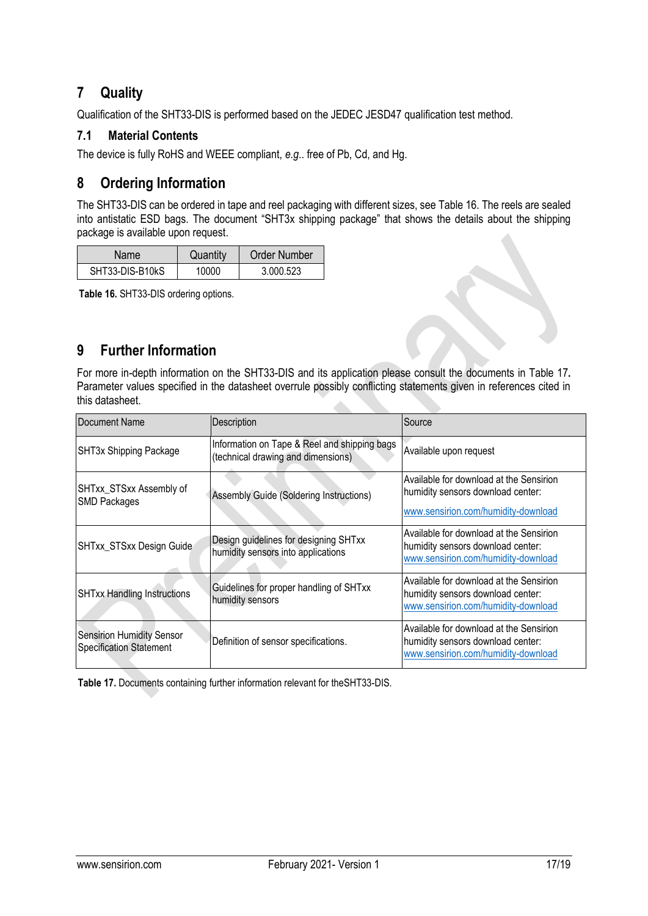### <span id="page-16-0"></span>**7 Quality**

Qualification of the SHT33-DIS is performed based on the JEDEC JESD47 qualification test method.

#### **7.1 Material Contents**

The device is fully RoHS and WEEE compliant, *e.g*.. free of Pb, Cd, and Hg.

### <span id="page-16-1"></span>**8 Ordering Information**

The SHT33-DIS can be ordered in tape and reel packaging with different sizes, see [Table 16.](#page-16-3) The reels are sealed into antistatic ESD bags. The document "SHT3x shipping package" that shows the details about the shipping package is available upon request.

| Name            | Quantity | <b>Order Number</b> |  |  |
|-----------------|----------|---------------------|--|--|
| SHT33-DIS-B10kS | 10000    | 3.000.523           |  |  |

<span id="page-16-3"></span>**Table 16.** SHT33-DIS ordering options.

### <span id="page-16-2"></span>**9 Further Information**

For more in-depth information on the SHT33-DIS and its application please consult the documents in [Table 17](#page-16-4)**.** Parameter values specified in the datasheet overrule possibly conflicting statements given in references cited in this datasheet. 

| Document Name                                                      | Description                                                                        | Source                                                                                                              |
|--------------------------------------------------------------------|------------------------------------------------------------------------------------|---------------------------------------------------------------------------------------------------------------------|
| SHT3x Shipping Package                                             | Information on Tape & Reel and shipping bags<br>(technical drawing and dimensions) | Available upon request                                                                                              |
| SHTxx_STSxx Assembly of<br><b>SMD Packages</b>                     | <b>Assembly Guide (Soldering Instructions)</b>                                     | Available for download at the Sensirion<br>humidity sensors download center:<br>www.sensirion.com/humidity-download |
| SHTxx_STSxx Design Guide                                           | Design guidelines for designing SHTxx<br>humidity sensors into applications        | Available for download at the Sensirion<br>humidity sensors download center:<br>www.sensirion.com/humidity-download |
| <b>SHTxx Handling Instructions</b>                                 | Guidelines for proper handling of SHTxx<br>humidity sensors                        | Available for download at the Sensirion<br>humidity sensors download center:<br>www.sensirion.com/humidity-download |
| <b>Sensirion Humidity Sensor</b><br><b>Specification Statement</b> | Definition of sensor specifications.                                               | Available for download at the Sensirion<br>humidity sensors download center:<br>www.sensirion.com/humidity-download |

<span id="page-16-4"></span>**Table 17.** Documents containing further information relevant for theSHT33-DIS.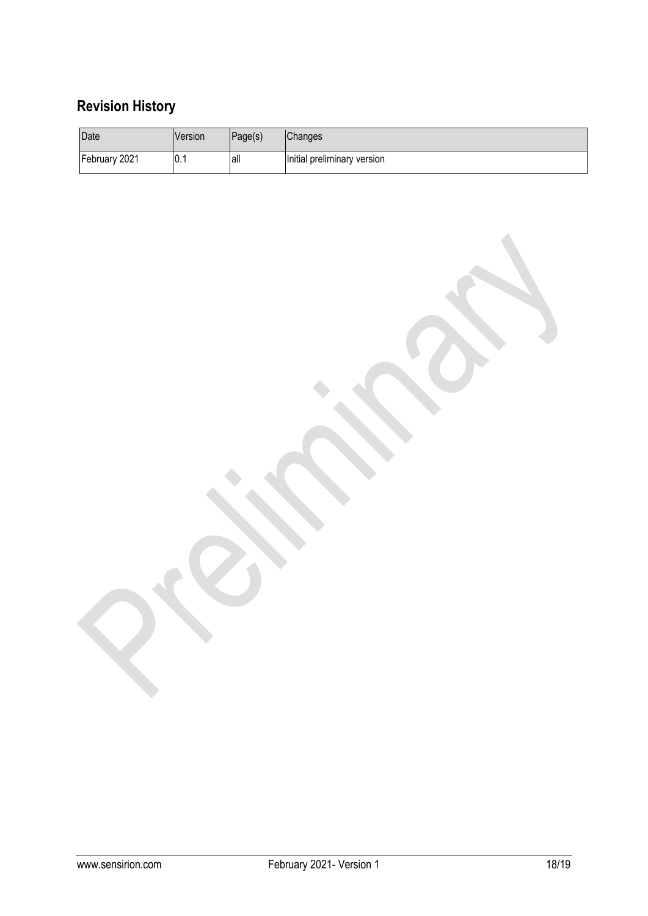# **Revision History**

| Date          | <b>Version</b>    | Page(s) | <b>Changes</b>              |
|---------------|-------------------|---------|-----------------------------|
| February 2021 | $\vert 0 \rangle$ | lall    | Initial preliminary version |